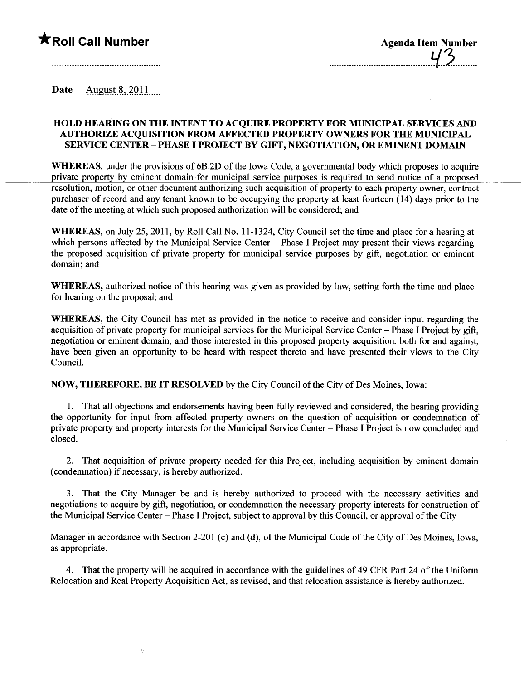## $\bigstar$ Roll Call Number

| <b>Agenda Item Number</b> |  |
|---------------------------|--|
|                           |  |

Date August  $8,2011$ 

## HOLD HEARING ON THE INTENT TO ACOUIRE PROPERTY FOR MUNICIPAL SERVICES AND AUTHORIE ACQUISITION FROM AFFECTED PROPERTY OWNERS FOR THE MUNICIPAL SERVICE CENTER - PHASE I PROJECT BY GIFT, NEGOTIATION, OR EMINENT DOMAIN

WHEREAS, under the provisions of 6B.2D of the Iowa Code, a governmental body which proposes to acquire private property by eminent domain for municipal service purposes is required to send notice of a proposed resolution, motion, or other document authorizing such acquisition of property to each property owner, contract purchaser of record and any tenant known to be occupying the property at least fourteen (14) days prior to the date of the meeting at which such proposed authorization will be considered; and

WHEREAS, on July 25, 2011, by Roll Call No. 11-1324, City Council set the time and place for a hearing at which persons affected by the Municipal Service Center - Phase I Project may present their views regarding the proposed acquisition of private property for municipal service purposes by gift, negotiation or eminent domain; and

WHEREAS, authorized notice of this hearing was given as provided by law, setting forth the time and place for hearing on the proposal; and

WHEREAS, the City Council has met as provided in the notice to receive and consider input regarding the acquisition of private property for municipal services for the Municipal Service Center – Phase I Project by gift, negotiation or eminent domain, and those interested in this proposed property acquisition, both for and against, have been given an opportunity to be heard with respect thereto and have presented their views to the City CounciL.

NOW, THEREFORE, BE IT RESOLVED by the City Council of the City of Des Moines, Iowa:

1. That all objections and endorsements having been fully reviewed and considered, the hearing providing the opportunity for input from affected property owners on the question of acquisition or condemnation of private property and property interests for the Municipal Service Center – Phase I Project is now concluded and closed.

2. That acquisition of private property needed for this Project, including acquisition by eminent domain (condemnation) if necessary, is hereby authorized.

3. That the City Manager be and is hereby authorized to proceed with the necessary activities and negotiations to acquire by gift, negotiation, or condemnation the necessary property interests for construction of the Municipal Service Center - Phase I Project, subject to approval by this Council, or approval of the City

Manager in accordance with Section 2-201 (c) and (d), of the Municipal Code of the City of Des Moines, Iowa, as appropriate.

4. That the property will be acquired in accordance with the guidelines of 49 CFR Part 24 of the Uniform Relocation and Real Property Acquisition Act, as revised, and that relocation assistance is hereby authorized.

 $\frac{1}{2}$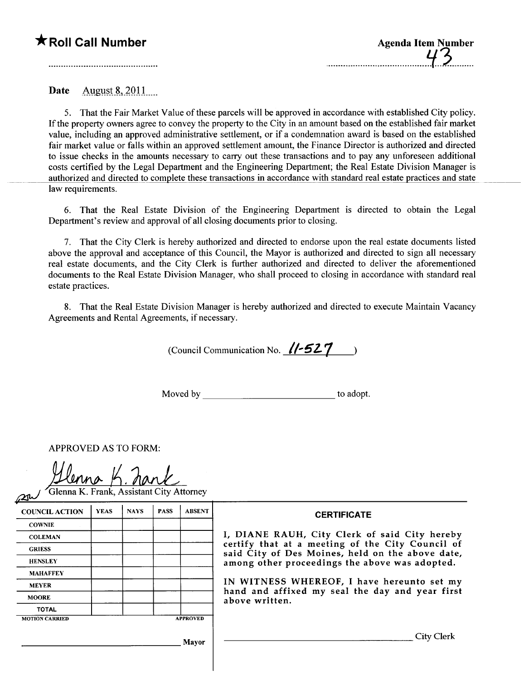## **KRoll Call Number**

| <b>Agenda Item Number</b> |  |
|---------------------------|--|
|                           |  |

August 8, 2011 Date

5. That the Fair Market Value of these parcels will be approved in accordance with established City policy. If the property owners agree to convey the property to the City in an amount based on the established fair market value, including an approved administrative settlement, or if a condemnation award is based on the established fair market value or falls within an approved settlement amount, the Finance Director is authorized and directed to issue checks in the amounts necessary to carry out these transactions and to pay any unforeseen additional costs certified by the Legal Department and the Engineering Department; the Real Estate Division Manager is authorized and directed to complete these transactions in accordance with standard real estate practices and state law requirements.

6. That the Real Estate Division of the Engineering Department is directed to obtain the Legal Department's review and approval of all closing documents prior to closing.

7. That the City Clerk is hereby authorized and directed to endorse upon the real estate documents listed above the approval and acceptance of this Council, the Mayor is authorized and directed to sign all necessary real estate documents, and the City Clerk is further authorized and directed to deliver the aforementioned documents to the Real Estate Division Manager, who shall proceed to closing in accordance with standard real estate practices.

8. That the Real Estate Division Manager is hereby authorized and directed to execute Maintain Vacancy Agreements and Rental Agreements, if necessary.

(Council Communication No.  $\sqrt{7527}$ )

to adopt.

**APPROVED AS TO FORM:** 

**Slenna K. Frank, Assistant City Attorney** 

| $\sim$                |             |             |             |                 |                                                                                                                                                                                                                                                       |
|-----------------------|-------------|-------------|-------------|-----------------|-------------------------------------------------------------------------------------------------------------------------------------------------------------------------------------------------------------------------------------------------------|
| <b>COUNCIL ACTION</b> | <b>YEAS</b> | <b>NAYS</b> | <b>PASS</b> | <b>ABSENT</b>   | <b>CERTIFICATE</b>                                                                                                                                                                                                                                    |
| <b>COWNIE</b>         |             |             |             |                 |                                                                                                                                                                                                                                                       |
| <b>COLEMAN</b>        |             |             |             |                 | I, DIANE RAUH, City Clerk of said City hereby<br>certify that at a meeting of the City Council of<br>said City of Des Moines, held on the above date,<br>among other proceedings the above was adopted.<br>IN WITNESS WHEREOF, I have hereunto set my |
| <b>GRIESS</b>         |             |             |             |                 |                                                                                                                                                                                                                                                       |
| <b>HENSLEY</b>        |             |             |             |                 |                                                                                                                                                                                                                                                       |
| <b>MAHAFFEY</b>       |             |             |             |                 |                                                                                                                                                                                                                                                       |
| <b>MEYER</b>          |             |             |             |                 |                                                                                                                                                                                                                                                       |
| <b>MOORE</b>          |             |             |             |                 | hand and affixed my seal the day and year first<br>above written.                                                                                                                                                                                     |
| <b>TOTAL</b>          |             |             |             |                 |                                                                                                                                                                                                                                                       |
| <b>MOTION CARRIED</b> |             |             |             | <b>APPROVED</b> |                                                                                                                                                                                                                                                       |
|                       |             |             |             | Mayor           | City Clerk                                                                                                                                                                                                                                            |